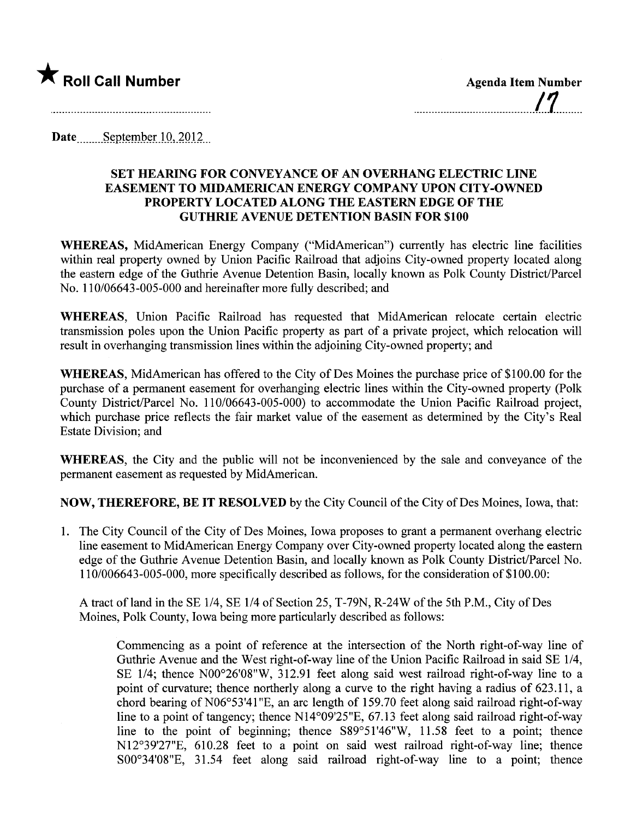

Date September 10,  $2012$ 

## SET HEARING FOR CONVEYANCE OF AN OVERHANG ELECTRIC LINE EASEMENT TO MIDAMERICAN ENERGY COMPANY UPON CITY -OWNED PROPERTY LOCATED ALONG THE EASTERN EDGE OF THE GUTHRIE AVENUE DETENTION BASIN FOR \$100

WHEREAS, MidAmerican Energy Company ("MidAmerican") currently has electric line facilities within real property owned by Union Pacific Railroad that adjoins City-owned property located along the eastern edge of the Guthrie Avenue Detention Basin, locally known as Polk County District/Parcel No. 110/06643-005-000 and hereinafter more fully described; and

WHEREAS, Union Pacific Railroad has requested that MidAmerican relocate certain electric transmission poles upon the Union Pacific property as part of a private project, which relocation wil result in overhanging transmission lines within the adjoining City-owned property; and

WHEREAS, MidAmerican has offered to the City of Des Moines the purchase price of \$100.00 for the purchase of a permanent easement for overhanging electric lines within the City-owned property (Polk County District/Parcel No. 110/06643-005-000) to accommodate the Union Pacific Railroad project, which purchase price reflects the fair market value of the easement as determined by the City's Real Estate Division; and

WHEREAS, the City and the public will not be inconvenienced by the sale and conveyance of the permanent easement as requested by MidAmerican.

NOW, THEREFORE, BE IT RESOLVED by the City Council of the City of Des Moines, Iowa, that:

1. The City Council of the City of Des Moines, Iowa proposes to grant a permanent overhang electric line easement to MidAmerican Energy Company over City-owned property located along the eastern edge of the Guthrie Avenue Detention Basin, and locally known as Polk County District/Parcel No. 110/006643-005-000, more specifically described as follows, for the consideration of \$1 00.00:

A tract of land in the SE 1/4, SE 1/4 of Section 25, T-79N, R-24W of the 5th P.M., City of Des Moines, Polk County, Iowa being more paricularly described as follows:

Commencing as a point of reference at the intersection of the North right-of-way line of Guthrie Avenue and the West right-of-way line of the Union Pacific Railroad in said SE 1/4, SE  $1/4$ ; thence N00 $^{\circ}26'08''W$ , 312.91 feet along said west railroad right-of-way line to a point of curvature; thence northerly along a curve to the right having a radius of 623.11, a chord bearing of  $N06^{\circ}53'41''E$ , an arc length of 159.70 feet along said railroad right-of-way line to a point of tangency; thence NI4°09'25"E, 67.13 feet along said railroad right-of-way line to the point of beginning; thence  $S89^{\circ}51'46''W$ , 11.58 feet to a point; thence NI2°39'27"E, 610.28 feet to a point on said west railroad right-of-way line; thence  $S00^{\circ}34'08''E$ , 31.54 feet along said railroad right-of-way line to a point; thence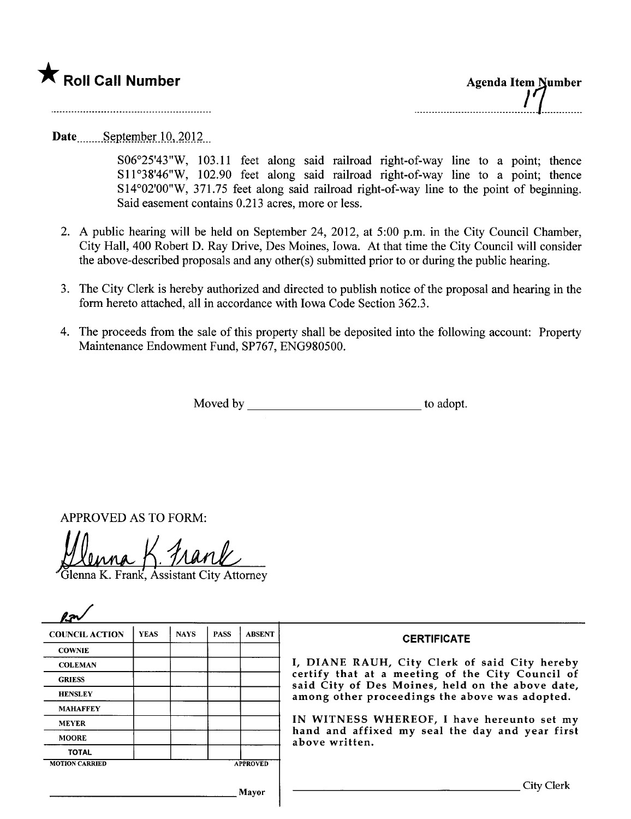

Date September  $10, 2012$ 

S06°25'43"W, 103.11 feet along said railroad right-of-way line to a point; thence S11°38'46"W, 102.90 feet along said railroad right-of-way line to a point; thence SI4°02'00"W, 371.75 feet along said railroad right-of-way line to the point of beginning. Said easement contains 0.213 acres, more or less.

- 2. A public hearing wil be held on September 24, 2012, at 5:00 p.m. in the City Council Chamber, City Hall, 400 Robert D. Ray Drive, Des Moines, Iowa. At that time the City Council wil consider the above-described proposals and any other(s) submitted prior to or during the public hearing.
- 3. The City Clerk is hereby authorized and directed to publish notice of the proposal and hearing in the form hereto attached, all in accordance with Iowa Code Section 362.3.
- 4. The proceeds from the sale of this property shall be deposited into the following account: Property Maintenance Endowment Fund, SP767, ENG980500.

Moved by to adopt.

APPROVED AS TO FORM:

Venna K. Frank, Assistant City Attorney

| <b>COUNCIL ACTION</b> | <b>YEAS</b> | <b>NAYS</b> | <b>PASS</b> | <b>ABSENT</b>   | <b>CERTIFICATE</b>                                                                                              |  |
|-----------------------|-------------|-------------|-------------|-----------------|-----------------------------------------------------------------------------------------------------------------|--|
| <b>COWNIE</b>         |             |             |             |                 |                                                                                                                 |  |
| <b>COLEMAN</b>        |             |             |             |                 | I, DIANE RAUH, City Clerk of said City hereby                                                                   |  |
| <b>GRIESS</b>         |             |             |             |                 | certify that at a meeting of the City Council of<br>said City of Des Moines, held on the above date,            |  |
| <b>HENSLEY</b>        |             |             |             |                 | among other proceedings the above was adopted.                                                                  |  |
| <b>MAHAFFEY</b>       |             |             |             |                 |                                                                                                                 |  |
| <b>MEYER</b>          |             |             |             |                 | IN WITNESS WHEREOF, I have hereunto set my<br>hand and affixed my seal the day and year first<br>above written. |  |
| <b>MOORE</b>          |             |             |             |                 |                                                                                                                 |  |
| <b>TOTAL</b>          |             |             |             |                 |                                                                                                                 |  |
| <b>MOTION CARRIED</b> |             |             |             | <b>APPROVED</b> |                                                                                                                 |  |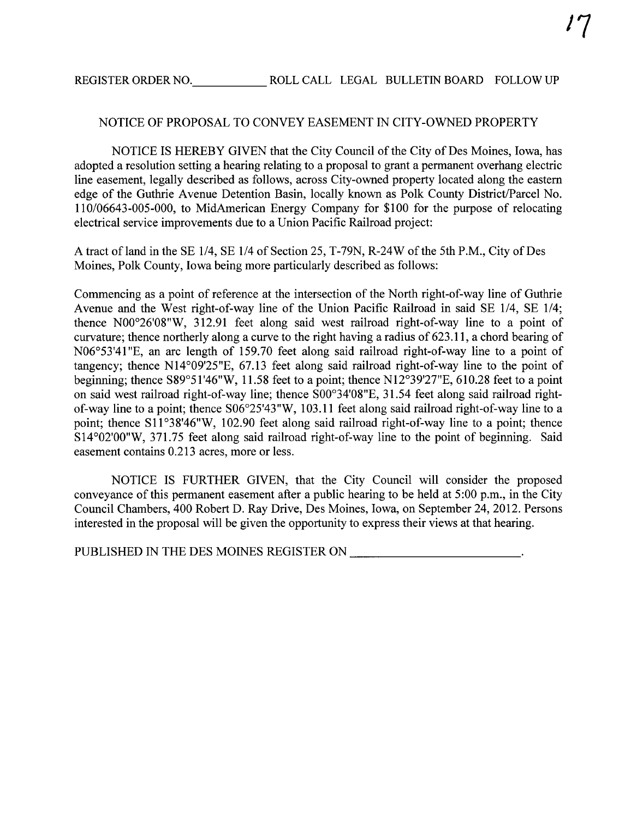## NOTICE OF PROPOSAL TO CONVEY EASEMENT IN CITY-OWNED PROPERTY

NOTICE IS HEREBY GIVEN that the City Council of the City of Des Moines, Iowa, has adopted a resolution setting a hearing relating to a proposal to grant a permanent overhang electric line easement, legally described as follows, across City-owned property located along the eastern edge of the Guthrie Avenue Detention Basin, locally known as Polk County District/Parcel No. 110/06643-005-000, to MidAmerican Energy Company for \$100 for the purose of relocating electrical service improvements due to a Union Pacific Railroad project:

A tract of land in the SE 1/4, SE 1/4 of Section 25, T-79N, R-24W of the 5th P.M., City of Des Moines, Polk County, Iowa being more particularly described as follows:

Commencing as a point of reference at the intersection of the North right-of-way line of Guthrie Avenue and the West right-of-way line of the Union Pacific Railroad in said SE 1/4, SE 1/4; thence N00°26'08"W, 312.91 feet along said west railroad right-of-way line to a point of curvature; thence northerly along a curve to the right having a radius of 623.11, a chord bearing of N06°53'41 "E, an arc length of 159.70 feet along said railroad right-of-way line to a point of tangency; thence NI4°09'25"E, 67.13 feet along said railroad right-of-way line to the point of beginning; thence S89°51 '46"W, 11.58 feet to a point; thence NI2°39'27"E, 610.28 feet to a point on said west railroad right-of-way line; thence S00°34'08"E, 31.54 feet along said railroad rightof-way line to a point; thence S06°25'43"W, 103.11 feet along said railroad right-of-way line to a point; thence S11°38'46"W, 102.90 feet along said railroad right-of-way line to a point; thence SI4°02'00"W, 371.75 feet along said railroad right-of-way line to the point of beginning. Said easement contains 0.213 acres, more or less.

NOTICE IS FURTHER GIVEN, that the City Council wil consider the proposed conveyance of this permanent easement after a public hearing to be held at 5:00 p.m., in the City Council Chambers, 400 Robert D. Ray Drive, Des Moines, Iowa, on September 24,2012. Persons interested in the proposal will be given the opportunity to express their views at that hearing.

PUBLISHED IN THE DES MOINES REGISTER ON **FOR A LICENSE ASSESSED IN THE DES MOINES REGISTER** ON